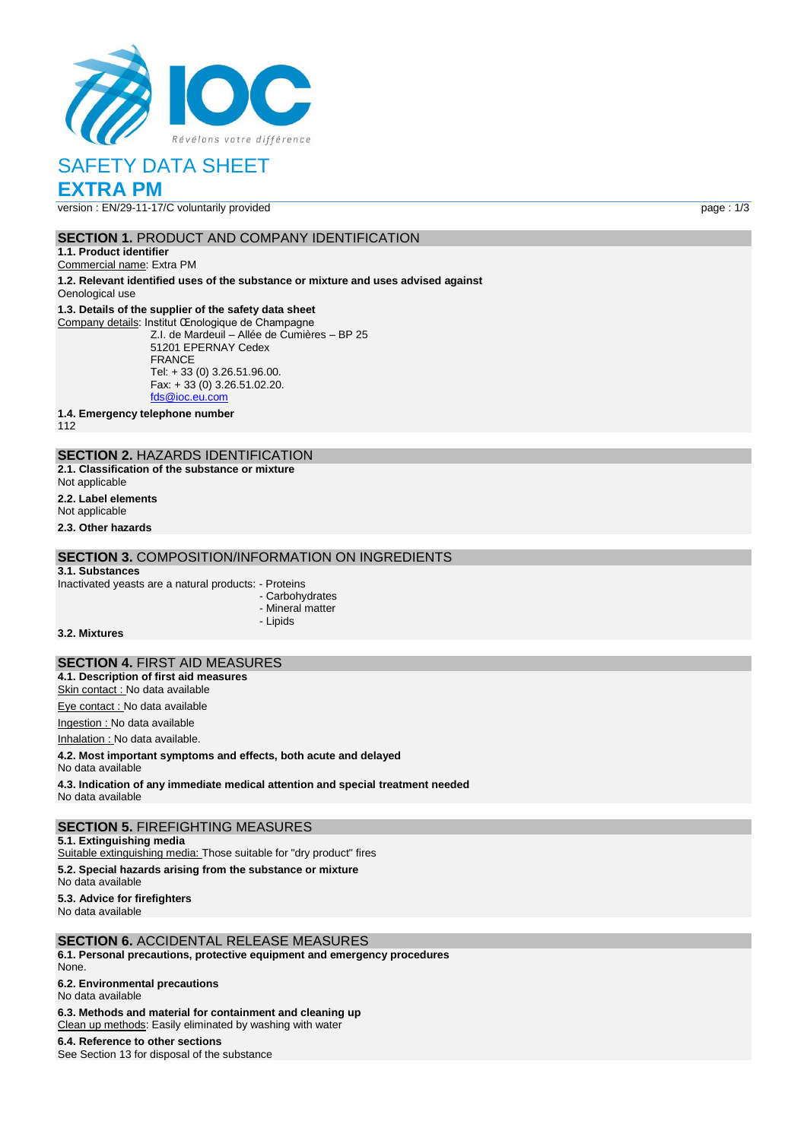

## SAFETY DATA SHEET

### **EXTRA PM**

version : EN/29-11-17/C voluntarily provided page : 1/3

#### **SECTION 1.** PRODUCT AND COMPANY IDENTIFICATION

**1.1. Product identifier**

Commercial name: Extra PM

**1.2. Relevant identified uses of the substance or mixture and uses advised against** Oenological use

#### **1.3. Details of the supplier of the safety data sheet**

Company details: Institut Œnologique de Champagne Z.I. de Mardeuil – Allée de Cumières – BP 25 51201 EPERNAY Cedex FRANCE Tel: + 33 (0) 3.26.51.96.00. Fax:  $+ 33(0)$  3.26.51.02.20. [fds@ioc.eu.com](mailto:fds@ioc.eu.com)

**1.4. Emergency telephone number**

112

#### **SECTION 2.** HAZARDS IDENTIFICATION **2.1. Classification of the substance or mixture**

Not applicable

**2.2. Label elements**

Not applicable

**2.3. Other hazards**

#### **SECTION 3.** COMPOSITION/INFORMATION ON INGREDIENTS

#### **3.1. Substances**

Inactivated yeasts are a natural products: - Proteins

- Carbohydrates
- Mineral matter
- Lipids

**3.2. Mixtures**

#### **SECTION 4.** FIRST AID MEASURES

**4.1. Description of first aid measures**

Skin contact : No data available

Eye contact : No data available Ingestion : No data available

Inhalation : No data available.

**4.2. Most important symptoms and effects, both acute and delayed**

No data available

**4.3. Indication of any immediate medical attention and special treatment needed** No data available

#### **SECTION 5.** FIREFIGHTING MEASURES

**5.1. Extinguishing media**

Suitable extinguishing media: Those suitable for "dry product" fires

**5.2. Special hazards arising from the substance or mixture**

No data available

**5.3. Advice for firefighters**

No data available

#### **SECTION 6.** ACCIDENTAL RELEASE MEASURES

**6.1. Personal precautions, protective equipment and emergency procedures** None.

**6.2. Environmental precautions**

No data available

**6.3. Methods and material for containment and cleaning up**

Clean up methods: Easily eliminated by washing with water

**6.4. Reference to other sections** See Section 13 for disposal of the substance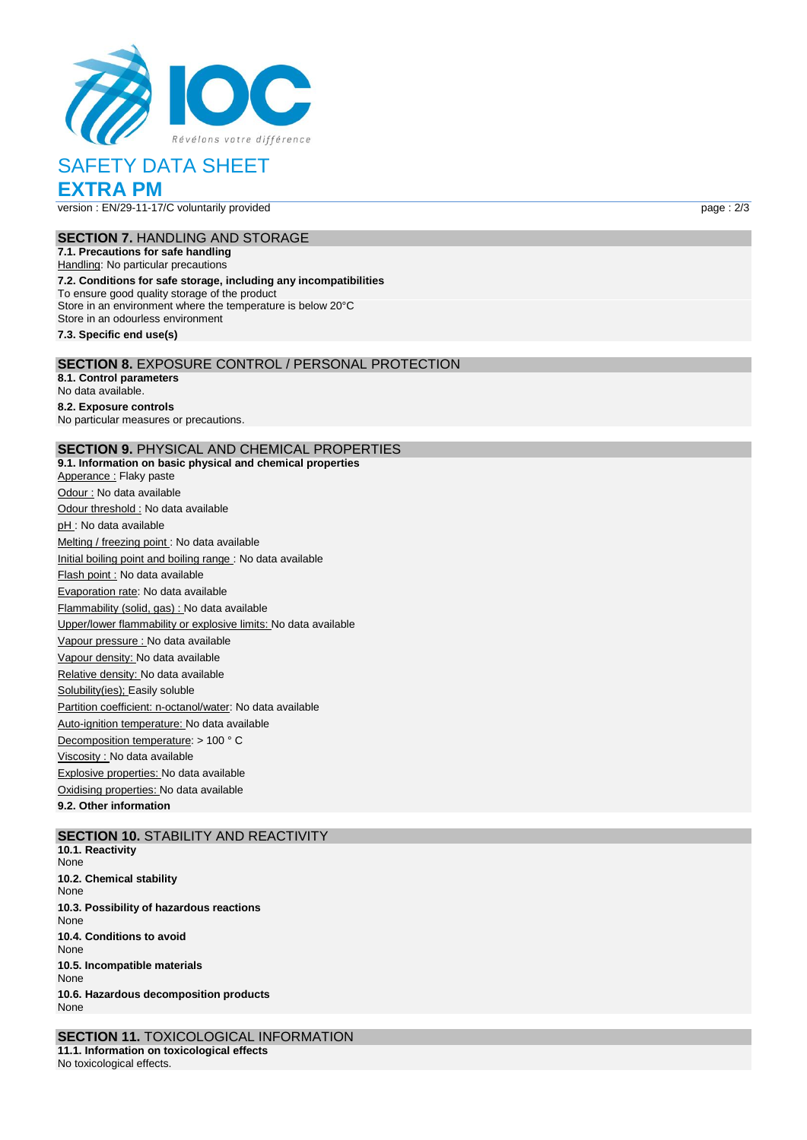

# SAFETY DATA SHEET

**EXTRA PM**

version : EN/29-11-17/C voluntarily provided page : 2/3

#### **SECTION 7.** HANDLING AND STORAGE

**7.1. Precautions for safe handling** Handling: No particular precautions **7.2. Conditions for safe storage, including any incompatibilities** To ensure good quality storage of the product Store in an environment where the temperature is below 20°C Store in an odourless environment

**7.3. Specific end use(s)**

#### **SECTION 8.** EXPOSURE CONTROL / PERSONAL PROTECTION

**8.1. Control parameters** No data available. **8.2. Exposure controls**

No particular measures or precautions.

#### **SECTION 9.** PHYSICAL AND CHEMICAL PROPERTIES

**9.1. Information on basic physical and chemical properties** Apperance : Flaky paste Odour : No data available Odour threshold : No data available pH : No data available Melting / freezing point : No data available Initial boiling point and boiling range : No data available Flash point : No data available Evaporation rate: No data available Flammability (solid, gas) : No data available Upper/lower flammability or explosive limits: No data available Vapour pressure : No data available Vapour density: No data available Relative density: No data available Solubility(ies); Easily soluble Partition coefficient: n-octanol/water: No data available Auto-ignition temperature: No data available Decomposition temperature: > 100 ° C Viscosity : No data available Explosive properties: No data available Oxidising properties: No data available **9.2. Other information**

#### **SECTION 10. STABILITY AND REACTIVITY**

**10.1. Reactivity** None **10.2. Chemical stability** None **10.3. Possibility of hazardous reactions** None **10.4. Conditions to avoid** None **10.5. Incompatible materials** None **10.6. Hazardous decomposition products** None

**SECTION 11.** TOXICOLOGICAL INFORMATION **11.1. Information on toxicological effects** No toxicological effects.